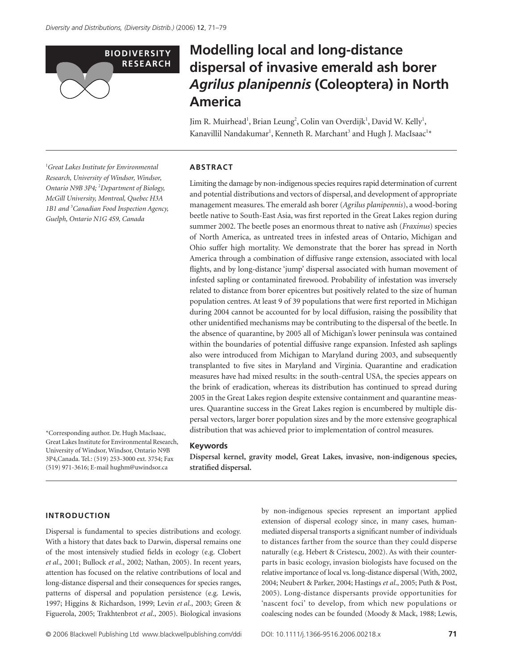

# **Modelling local and long-distance dispersal of invasive emerald ash borer**  *Agrilus planipennis* **(Coleoptera) in North America**

Jim R. Muirhead<sup>1</sup>, Brian Leung<sup>2</sup>, Colin van Overdijk<sup>1</sup>, David W. Kelly<sup>1</sup>, Kanavillil Nandakumar<sup>1</sup>, Kenneth R. Marchant<sup>3</sup> and Hugh J. MacIsaac<sup>1\*</sup>

1 *Great Lakes Institute for Environmental Research, University of Windsor, Windsor, Ontario N9B 3P4;* <sup>2</sup> *Department of Biology, McGill University, Montreal, Quebec H3A 1B1 and* <sup>3</sup> *Canadian Food Inspection Agency, Guelph, Ontario N1G 4S9, Canada* 

#### \*Corresponding author. Dr. Hugh MacIsaac, Great Lakes Institute for Environmental Research, University of Windsor, Windsor, Ontario N9B 3P4,Canada. Tel.: (519) 253-3000 ext. 3754; Fax (519) 971-3616; E-mail hughm@uwindsor.ca

## **ABSTRACT**

Limiting the damage by non-indigenous species requires rapid determination of current and potential distributions and vectors of dispersal, and development of appropriate management measures. The emerald ash borer (*Agrilus planipennis*), a wood-boring beetle native to South-East Asia, was first reported in the Great Lakes region during summer 2002. The beetle poses an enormous threat to native ash (*Fraxinus*) species of North America, as untreated trees in infested areas of Ontario, Michigan and Ohio suffer high mortality. We demonstrate that the borer has spread in North America through a combination of diffusive range extension, associated with local flights, and by long-distance 'jump' dispersal associated with human movement of infested sapling or contaminated firewood. Probability of infestation was inversely related to distance from borer epicentres but positively related to the size of human population centres. At least 9 of 39 populations that were first reported in Michigan during 2004 cannot be accounted for by local diffusion, raising the possibility that other unidentified mechanisms may be contributing to the dispersal of the beetle. In the absence of quarantine, by 2005 all of Michigan's lower peninsula was contained within the boundaries of potential diffusive range expansion. Infested ash saplings also were introduced from Michigan to Maryland during 2003, and subsequently transplanted to five sites in Maryland and Virginia. Quarantine and eradication measures have had mixed results: in the south-central USA, the species appears on the brink of eradication, whereas its distribution has continued to spread during 2005 in the Great Lakes region despite extensive containment and quarantine measures. Quarantine success in the Great Lakes region is encumbered by multiple dispersal vectors, larger borer population sizes and by the more extensive geographical distribution that was achieved prior to implementation of control measures.

**Keywords**

**Dispersal kernel, gravity model, Great Lakes, invasive, non-indigenous species, stratified dispersal.**

## **INTRODUCTION**

Dispersal is fundamental to species distributions and ecology. With a history that dates back to Darwin, dispersal remains one of the most intensively studied fields in ecology (e.g. Clobert *et al*., 2001; Bullock *et al*., 2002; Nathan, 2005). In recent years, attention has focused on the relative contributions of local and long-distance dispersal and their consequences for species ranges, patterns of dispersal and population persistence (e.g. Lewis, 1997; Higgins & Richardson, 1999; Levin *et al*., 2003; Green & Figuerola, 2005; Trakhtenbrot *et al*., 2005). Biological invasions by non-indigenous species represent an important applied extension of dispersal ecology since, in many cases, humanmediated dispersal transports a significant number of individuals to distances farther from the source than they could disperse naturally (e.g. Hebert & Cristescu, 2002). As with their counterparts in basic ecology, invasion biologists have focused on the relative importance of local vs. long-distance dispersal (With, 2002, 2004; Neubert & Parker, 2004; Hastings *et al*., 2005; Puth & Post, 2005). Long-distance dispersants provide opportunities for 'nascent foci' to develop, from which new populations or coalescing nodes can be founded (Moody & Mack, 1988; Lewis,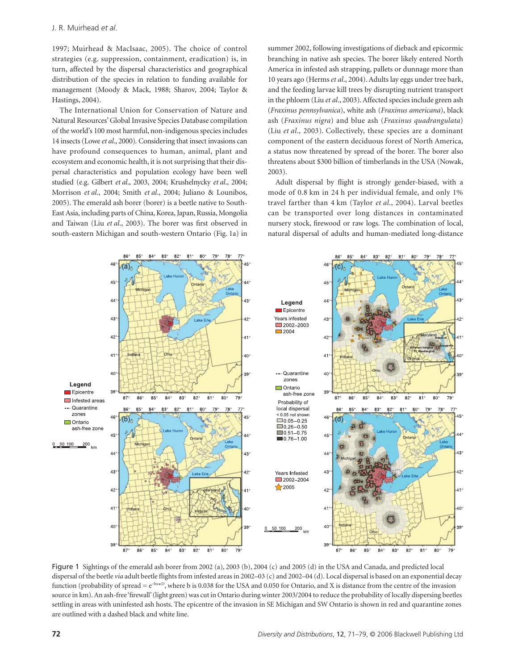1997; Muirhead & MacIsaac, 2005). The choice of control strategies (e.g. suppression, containment, eradication) is, in turn, affected by the dispersal characteristics and geographical distribution of the species in relation to funding available for management (Moody & Mack, 1988; Sharov, 2004; Taylor & Hastings, 2004).

The International Union for Conservation of Nature and Natural Resources' Global Invasive Species Database compilation of the world's 100 most harmful, non-indigenous species includes 14 insects (Lowe *et al*., 2000)*.* Considering that insect invasions can have profound consequences to human, animal, plant and ecosystem and economic health, it is not surprising that their dispersal characteristics and population ecology have been well studied (e.g. Gilbert *et al*., 2003, 2004; Krushelnycky *et al*., 2004; Morrison *et al*., 2004; Smith *et al*., 2004; Juliano & Lounibos, 2005). The emerald ash borer (borer) is a beetle native to South-East Asia, including parts of China, Korea, Japan, Russia, Mongolia and Taiwan (Liu *et al*., 2003). The borer was first observed in south-eastern Michigan and south-western Ontario (Fig. 1a) in

summer 2002, following investigations of dieback and epicormic branching in native ash species. The borer likely entered North America in infested ash strapping, pallets or dunnage more than 10 years ago (Herms *et al*., 2004). Adults lay eggs under tree bark, and the feeding larvae kill trees by disrupting nutrient transport in the phloem (Liu *et al*., 2003). Affected species include green ash (*Fraxinus pennsylvanica*), white ash (*Fraxinus americana*), black ash (*Fraxinus nigra*) and blue ash (*Fraxinus quadrangulata*) (Liu *et al*., 2003). Collectively, these species are a dominant component of the eastern deciduous forest of North America, a status now threatened by spread of the borer. The borer also threatens about \$300 billion of timberlands in the USA (Nowak, 2003).

Adult dispersal by flight is strongly gender-biased, with a mode of 0.8 km in 24 h per individual female, and only 1% travel farther than 4 km (Taylor *et al*., 2004). Larval beetles can be transported over long distances in contaminated nursery stock, firewood or raw logs. The combination of local, natural dispersal of adults and human-mediated long-distance



Figure 1 Sightings of the emerald ash borer from 2002 (a), 2003 (b), 2004 (c) and 2005 (d) in the USA and Canada, and predicted local dispersal of the beetle *via* adult beetle flights from infested areas in 2002–03 (c) and 2002–04 (d). Local dispersal is based on an exponential decay function (probability of spread =  $e^{-bx+D}$ , where b is 0.038 for the USA and 0.050 for Ontario, and X is distance from the centre of the invasion source in km). An ash-free 'firewall' (light green) was cut in Ontario during winter 2003/2004 to reduce the probability of locally dispersing beetles settling in areas with uninfested ash hosts. The epicentre of the invasion in SE Michigan and SW Ontario is shown in red and quarantine zones are outlined with a dashed black and white line.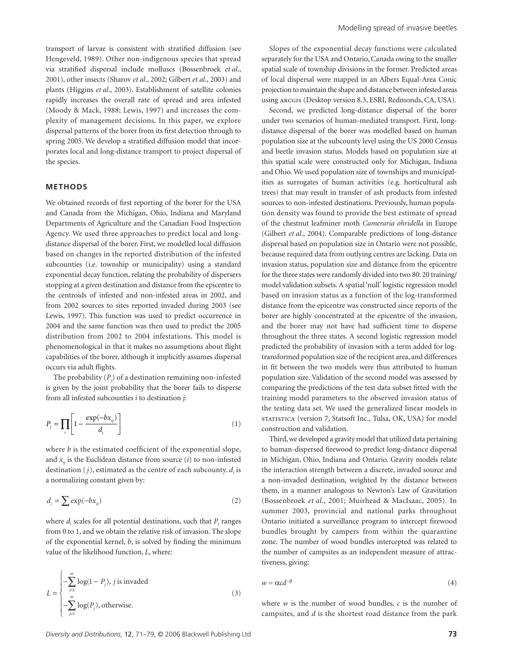transport of larvae is consistent with stratified diffusion (see Hengeveld, 1989). Other non-indigenous species that spread via stratified dispersal include molluscs (Bossenbroek *et al*., 2001), other insects (Sharov *et al*., 2002; Gilbert *et al*., 2003) and plants (Higgins *et al*., 2003). Establishment of satellite colonies rapidly increases the overall rate of spread and area infested (Moody & Mack, 1988; Lewis, 1997) and increases the complexity of management decisions. In this paper, we explore dispersal patterns of the borer from its first detection through to spring 2005. We develop a stratified diffusion model that incorporates local and long-distance transport to project dispersal of the species.

## **METHODS**

We obtained records of first reporting of the borer for the USA and Canada from the Michigan, Ohio, Indiana and Maryland Departments of Agriculture and the Canadian Food Inspection Agency. We used three approaches to predict local and longdistance dispersal of the borer. First, we modelled local diffusion based on changes in the reported distribution of the infested subcounties (i.e. township or municipality) using a standard exponential decay function, relating the probability of dispersers stopping at a given destination and distance from the epicentre to the centroids of infested and non-infested areas in 2002, and from 2002 sources to sites reported invaded during 2003 (see Lewis, 1997). This function was used to predict occurrence in 2004 and the same function was then used to predict the 2005 distribution from 2002 to 2004 infestations. This model is phenomenological in that it makes no assumptions about flight capabilities of the borer, although it implicitly assumes dispersal occurs via adult flights.

The probability  $(P_j)$  of a destination remaining non-infested is given by the joint probability that the borer fails to disperse from all infested subcounties *i* to destination *j*:

$$
P_j = \prod_i \left[ 1 - \frac{\exp(-bx_{ij})}{d_i} \right] \tag{1}
$$

where *b* is the estimated coefficient of the exponential slope, and  $x_{ii}$  is the Euclidean distance from source (*i*) to non-infested destination  $(j)$ , estimated as the centre of each subcounty.  $d_i$  is a normalizing constant given by:

$$
d_i = \sum \exp(-bx_{ij})
$$
 (2)

where  $d_i$  scales for all potential destinations, such that  $P_j$  ranges from 0 to 1, and we obtain the relative risk of invasion. The slope of the exponential kernel, *b*, is solved by finding the minimum value of the likelihood function, *L*, where:

$$
L = \begin{cases} -\sum_{j=1}^{m} \log(1 - P_j), & j \text{ is invaded} \\ -\sum_{j=1}^{m} \log(P_j), & \text{otherwise.} \end{cases}
$$
(3)

Slopes of the exponential decay functions were calculated separately for the USA and Ontario, Canada owing to the smaller spatial scale of township divisions in the former. Predicted areas of local dispersal were mapped in an Albers Equal-Area Conic projection to maintain the shape and distance between infested areas using ARCGIS (Desktop version 8.3, ESRI, Redmonds, CA, USA).

Second, we predicted long-distance dispersal of the borer under two scenarios of human-mediated transport. First, longdistance dispersal of the borer was modelled based on human population size at the subcounty level using the US 2000 Census and beetle invasion status. Models based on population size at this spatial scale were constructed only for Michigan, Indiana and Ohio. We used population size of townships and municipalities as surrogates of human activities (e.g. horticultural ash trees) that may result in transfer of ash products from infested sources to non-infested destinations. Previously, human population density was found to provide the best estimate of spread of the chestnut leafminer moth *Cameraria ohridella* in Europe (Gilbert *et al*., 2004). Comparable predictions of long-distance dispersal based on population size in Ontario were not possible, because required data from outlying centres are lacking. Data on invasion status, population size and distance from the epicentre for the three states were randomly divided into two 80: 20 training/ model validation subsets. A spatial 'null' logistic regression model based on invasion status as a function of the log-transformed distance from the epicentre was constructed since reports of the borer are highly concentrated at the epicentre of the invasion, and the borer may not have had sufficient time to disperse throughout the three states. A second logistic regression model predicted the probability of invasion with a term added for logtransformed population size of the recipient area, and differences in fit between the two models were thus attributed to human population size. Validation of the second model was assessed by comparing the predictions of the test data subset fitted with the training model parameters to the observed invasion status of the testing data set. We used the generalized linear models in STATISTICA (version 7, Statsoft Inc., Tulsa, OK, USA) for model construction and validation.

Third, we developed a gravity model that utilized data pertaining to human-dispersed firewood to predict long-distance dispersal in Michigan, Ohio, Indiana and Ontario. Gravity models relate the interaction strength between a discrete, invaded source and a non-invaded destination, weighted by the distance between them, in a manner analogous to Newton's Law of Gravitation (Bossenbroek *et al*., 2001; Muirhead & MacIsaac, 2005). In summer 2003, provincial and national parks throughout Ontario initiated a surveillance program to intercept firewood bundles brought by campers from within the quarantine zone. The number of wood bundles intercepted was related to the number of campsites as an independent measure of attractiveness, giving:

$$
w = \alpha c d^{-\beta} \tag{4}
$$

where *w* is the number of wood bundles, *c* is the number of campsites, and *d* is the shortest road distance from the park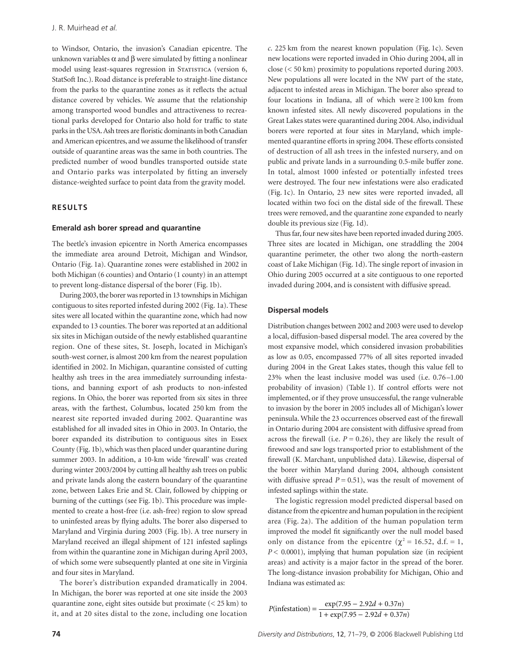to Windsor, Ontario, the invasion's Canadian epicentre. The unknown variables  $\alpha$  and  $\beta$  were simulated by fitting a nonlinear model using least-squares regression in STATISTICA (version 6, StatSoft Inc.). Road distance is preferable to straight-line distance from the parks to the quarantine zones as it reflects the actual distance covered by vehicles. We assume that the relationship among transported wood bundles and attractiveness to recreational parks developed for Ontario also hold for traffic to state parks in the USA. Ash trees are floristic dominants in both Canadian and American epicentres, and we assume the likelihood of transfer outside of quarantine areas was the same in both countries. The predicted number of wood bundles transported outside state and Ontario parks was interpolated by fitting an inversely distance-weighted surface to point data from the gravity model.

#### **RESULTS**

## **Emerald ash borer spread and quarantine**

The beetle's invasion epicentre in North America encompasses the immediate area around Detroit, Michigan and Windsor, Ontario (Fig. 1a). Quarantine zones were established in 2002 in both Michigan (6 counties) and Ontario (1 county) in an attempt to prevent long-distance dispersal of the borer (Fig. 1b).

During 2003, the borer was reported in 13 townships in Michigan contiguous to sites reported infested during 2002 (Fig. 1a). These sites were all located within the quarantine zone, which had now expanded to 13 counties. The borer was reported at an additional six sites in Michigan outside of the newly established quarantine region. One of these sites, St. Joseph, located in Michigan's south-west corner, is almost 200 km from the nearest population identified in 2002. In Michigan, quarantine consisted of cutting healthy ash trees in the area immediately surrounding infestations, and banning export of ash products to non-infested regions. In Ohio, the borer was reported from six sites in three areas, with the farthest, Columbus, located 250 km from the nearest site reported invaded during 2002. Quarantine was established for all invaded sites in Ohio in 2003. In Ontario, the borer expanded its distribution to contiguous sites in Essex County (Fig. 1b), which was then placed under quarantine during summer 2003. In addition, a 10-km wide 'firewall' was created during winter 2003/2004 by cutting all healthy ash trees on public and private lands along the eastern boundary of the quarantine zone, between Lakes Erie and St. Clair, followed by chipping or burning of the cuttings (see Fig. 1b). This procedure was implemented to create a host-free (i.e. ash-free) region to slow spread to uninfested areas by flying adults. The borer also dispersed to Maryland and Virginia during 2003 (Fig. 1b). A tree nursery in Maryland received an illegal shipment of 121 infested saplings from within the quarantine zone in Michigan during April 2003, of which some were subsequently planted at one site in Virginia and four sites in Maryland.

The borer's distribution expanded dramatically in 2004. In Michigan, the borer was reported at one site inside the 2003 quarantine zone, eight sites outside but proximate (< 25 km) to it, and at 20 sites distal to the zone, including one location *c*. 225 km from the nearest known population (Fig. 1c). Seven new locations were reported invaded in Ohio during 2004, all in close (< 50 km) proximity to populations reported during 2003. New populations all were located in the NW part of the state, adjacent to infested areas in Michigan. The borer also spread to four locations in Indiana, all of which were  $\geq 100$  km from known infested sites. All newly discovered populations in the Great Lakes states were quarantined during 2004. Also, individual borers were reported at four sites in Maryland, which implemented quarantine efforts in spring 2004. These efforts consisted of destruction of all ash trees in the infested nursery, and on public and private lands in a surrounding 0.5-mile buffer zone. In total, almost 1000 infested or potentially infested trees were destroyed. The four new infestations were also eradicated (Fig. 1c). In Ontario, 23 new sites were reported invaded, all located within two foci on the distal side of the firewall. These trees were removed, and the quarantine zone expanded to nearly double its previous size (Fig. 1d).

Thus far, four new sites have been reported invaded during 2005. Three sites are located in Michigan, one straddling the 2004 quarantine perimeter, the other two along the north-eastern coast of Lake Michigan (Fig. 1d). The single report of invasion in Ohio during 2005 occurred at a site contiguous to one reported invaded during 2004, and is consistent with diffusive spread.

#### **Dispersal models**

Distribution changes between 2002 and 2003 were used to develop a local, diffusion-based dispersal model. The area covered by the most expansive model, which considered invasion probabilities as low as 0.05, encompassed 77% of all sites reported invaded during 2004 in the Great Lakes states, though this value fell to 23% when the least inclusive model was used (i.e. 0.76–1.00 probability of invasion) (Table 1). If control efforts were not implemented, or if they prove unsuccessful, the range vulnerable to invasion by the borer in 2005 includes all of Michigan's lower peninsula. While the 23 occurrences observed east of the firewall in Ontario during 2004 are consistent with diffusive spread from across the firewall (i.e.  $P = 0.26$ ), they are likely the result of firewood and saw logs transported prior to establishment of the firewall (K. Marchant, unpublished data). Likewise, dispersal of the borer within Maryland during 2004, although consistent with diffusive spread  $P = 0.51$ , was the result of movement of infested saplings within the state.

The logistic regression model predicted dispersal based on distance from the epicentre and human population in the recipient area (Fig. 2a). The addition of the human population term improved the model fit significantly over the null model based only on distance from the epicentre ( $\chi^2 = 16.52$ , d.f. = 1, *P* < 0.0001), implying that human population size (in recipient areas) and activity is a major factor in the spread of the borer. The long-distance invasion probability for Michigan, Ohio and Indiana was estimated as:

 $P(\text{infestation}) = \frac{\exp(7.95 - 2.92d + 0.37n)}{1 + \exp(7.95 - 2.92d + 0.37n)}$  $7.95 - 2.92d + 0.37$  $1 + \exp(7.95 - 2.92d + 0.37)$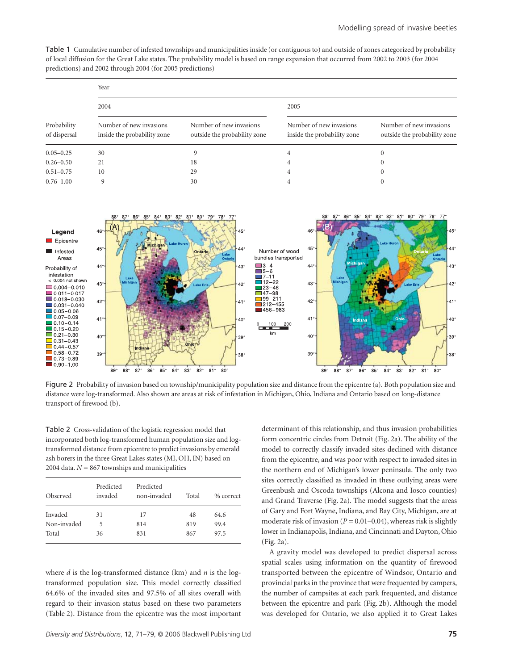Table 1 Cumulative number of infested townships and municipalities inside (or contiguous to) and outside of zones categorized by probability of local diffusion for the Great Lake states. The probability model is based on range expansion that occurred from 2002 to 2003 (for 2004 predictions) and 2002 through 2004 (for 2005 predictions)

| Probability<br>of dispersal | Year                                                   |                                                         |                                                        |                                                         |  |  |
|-----------------------------|--------------------------------------------------------|---------------------------------------------------------|--------------------------------------------------------|---------------------------------------------------------|--|--|
|                             | 2004                                                   |                                                         | 2005                                                   |                                                         |  |  |
|                             | Number of new invasions<br>inside the probability zone | Number of new invasions<br>outside the probability zone | Number of new invasions<br>inside the probability zone | Number of new invasions<br>outside the probability zone |  |  |
| $0.05 - 0.25$               | 30                                                     | 9                                                       | 4                                                      | 0                                                       |  |  |
| $0.26 - 0.50$               | 21                                                     | 18                                                      | 4                                                      | 0                                                       |  |  |
| $0.51 - 0.75$               | 10                                                     | 29                                                      | 4                                                      | $\Omega$                                                |  |  |
| $0.76 - 1.00$               | 9                                                      | 30                                                      |                                                        | 0                                                       |  |  |



Figure 2 Probability of invasion based on township/municipality population size and distance from the epicentre (a). Both population size and distance were log-transformed. Also shown are areas at risk of infestation in Michigan, Ohio, Indiana and Ontario based on long-distance transport of firewood (b).

Table 2 Cross-validation of the logistic regression model that incorporated both log-transformed human population size and logtransformed distance from epicentre to predict invasions by emerald ash borers in the three Great Lakes states (MI, OH, IN) based on 2004 data.  $N = 867$  townships and municipalities

| Observed    | Predicted<br>invaded | Predicted<br>non-invaded | Total | % correct |
|-------------|----------------------|--------------------------|-------|-----------|
| Invaded     | 31                   | 17                       | 48    | 64.6      |
| Non-invaded | 5                    | 814                      | 819   | 99.4      |
| Total       | 36                   | 831                      | 867   | 97.5      |

where *d* is the log-transformed distance (km) and *n* is the logtransformed population size. This model correctly classified 64.6% of the invaded sites and 97.5% of all sites overall with regard to their invasion status based on these two parameters (Table 2). Distance from the epicentre was the most important determinant of this relationship, and thus invasion probabilities form concentric circles from Detroit (Fig. 2a). The ability of the model to correctly classify invaded sites declined with distance from the epicentre, and was poor with respect to invaded sites in the northern end of Michigan's lower peninsula. The only two sites correctly classified as invaded in these outlying areas were Greenbush and Oscoda townships (Alcona and Iosco counties) and Grand Traverse (Fig. 2a). The model suggests that the areas of Gary and Fort Wayne, Indiana, and Bay City, Michigan, are at moderate risk of invasion ( $P = 0.01 - 0.04$ ), whereas risk is slightly lower in Indianapolis, Indiana, and Cincinnati and Dayton, Ohio (Fig. 2a).

A gravity model was developed to predict dispersal across spatial scales using information on the quantity of firewood transported between the epicentre of Windsor, Ontario and provincial parks in the province that were frequented by campers, the number of campsites at each park frequented, and distance between the epicentre and park (Fig. 2b). Although the model was developed for Ontario, we also applied it to Great Lakes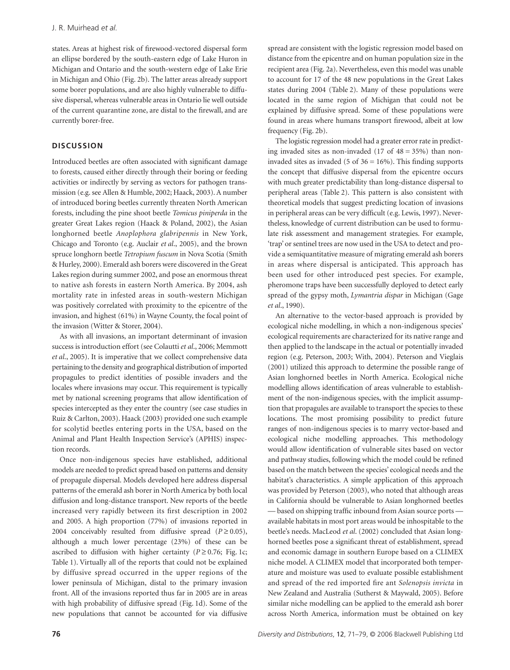states. Areas at highest risk of firewood-vectored dispersal form an ellipse bordered by the south-eastern edge of Lake Huron in Michigan and Ontario and the south-western edge of Lake Erie in Michigan and Ohio (Fig. 2b). The latter areas already support some borer populations, and are also highly vulnerable to diffusive dispersal, whereas vulnerable areas in Ontario lie well outside of the current quarantine zone, are distal to the firewall, and are currently borer-free.

# **DISCUSSION**

Introduced beetles are often associated with significant damage to forests, caused either directly through their boring or feeding activities or indirectly by serving as vectors for pathogen transmission (e.g. see Allen & Humble, 2002; Haack, 2003). A number of introduced boring beetles currently threaten North American forests, including the pine shoot beetle *Tomicus piniperda* in the greater Great Lakes region (Haack & Poland, 2002), the Asian longhorned beetle *Anoplophora glabripennis* in New York, Chicago and Toronto (e.g. Auclair *et al*., 2005), and the brown spruce longhorn beetle *Tetropium fuscum* in Nova Scotia (Smith & Hurley, 2000). Emerald ash borers were discovered in the Great Lakes region during summer 2002, and pose an enormous threat to native ash forests in eastern North America. By 2004, ash mortality rate in infested areas in south-western Michigan was positively correlated with proximity to the epicentre of the invasion, and highest (61%) in Wayne County, the focal point of the invasion (Witter & Storer, 2004).

As with all invasions, an important determinant of invasion success is introduction effort (see Colautti *et al*., 2006; Memmott *et al*., 2005). It is imperative that we collect comprehensive data pertaining to the density and geographical distribution of imported propagules to predict identities of possible invaders and the locales where invasions may occur. This requirement is typically met by national screening programs that allow identification of species intercepted as they enter the country (see case studies in Ruiz & Carlton, 2003). Haack (2003) provided one such example for scolytid beetles entering ports in the USA, based on the Animal and Plant Health Inspection Service's (APHIS) inspection records.

Once non-indigenous species have established, additional models are needed to predict spread based on patterns and density of propagule dispersal. Models developed here address dispersal patterns of the emerald ash borer in North America by both local diffusion and long-distance transport. New reports of the beetle increased very rapidly between its first description in 2002 and 2005. A high proportion (77%) of invasions reported in 2004 conceivably resulted from diffusive spread  $(P \ge 0.05)$ , although a much lower percentage (23%) of these can be ascribed to diffusion with higher certainty ( $P \ge 0.76$ ; Fig. 1c; Table 1). Virtually all of the reports that could not be explained by diffusive spread occurred in the upper regions of the lower peninsula of Michigan, distal to the primary invasion front. All of the invasions reported thus far in 2005 are in areas with high probability of diffusive spread (Fig. 1d). Some of the new populations that cannot be accounted for via diffusive

spread are consistent with the logistic regression model based on distance from the epicentre and on human population size in the recipient area (Fig. 2a). Nevertheless, even this model was unable to account for 17 of the 48 new populations in the Great Lakes states during 2004 (Table 2). Many of these populations were located in the same region of Michigan that could not be explained by diffusive spread. Some of these populations were found in areas where humans transport firewood, albeit at low frequency (Fig. 2b).

The logistic regression model had a greater error rate in predicting invaded sites as non-invaded  $(17 \text{ of } 48 = 35%)$  than noninvaded sites as invaded (5 of  $36 = 16\%$ ). This finding supports the concept that diffusive dispersal from the epicentre occurs with much greater predictability than long-distance dispersal to peripheral areas (Table 2). This pattern is also consistent with theoretical models that suggest predicting location of invasions in peripheral areas can be very difficult (e.g. Lewis, 1997). Nevertheless, knowledge of current distribution can be used to formulate risk assessment and management strategies. For example, 'trap' or sentinel trees are now used in the USA to detect and provide a semiquantitative measure of migrating emerald ash borers in areas where dispersal is anticipated. This approach has been used for other introduced pest species. For example, pheromone traps have been successfully deployed to detect early spread of the gypsy moth, *Lymantria dispar* in Michigan (Gage *et al*., 1990).

An alternative to the vector-based approach is provided by ecological niche modelling, in which a non-indigenous species' ecological requirements are characterized for its native range and then applied to the landscape in the actual or potentially invaded region (e.g. Peterson, 2003; With, 2004). Peterson and Vieglais (2001) utilized this approach to determine the possible range of Asian longhorned beetles in North America. Ecological niche modelling allows identification of areas vulnerable to establishment of the non-indigenous species, with the implicit assumption that propagules are available to transport the species to these locations. The most promising possibility to predict future ranges of non-indigenous species is to marry vector-based and ecological niche modelling approaches. This methodology would allow identification of vulnerable sites based on vector and pathway studies, following which the model could be refined based on the match between the species' ecological needs and the habitat's characteristics. A simple application of this approach was provided by Peterson (2003), who noted that although areas in California should be vulnerable to Asian longhorned beetles — based on shipping traffic inbound from Asian source ports available habitats in most port areas would be inhospitable to the beetle's needs. MacLeod *et al*. (2002) concluded that Asian longhorned beetles pose a significant threat of establishment, spread and economic damage in southern Europe based on a CLIMEX niche model. A CLIMEX model that incorporated both temperature and moisture was used to evaluate possible establishment and spread of the red imported fire ant *Solenopsis invicta* in New Zealand and Australia (Sutherst & Maywald, 2005). Before similar niche modelling can be applied to the emerald ash borer across North America, information must be obtained on key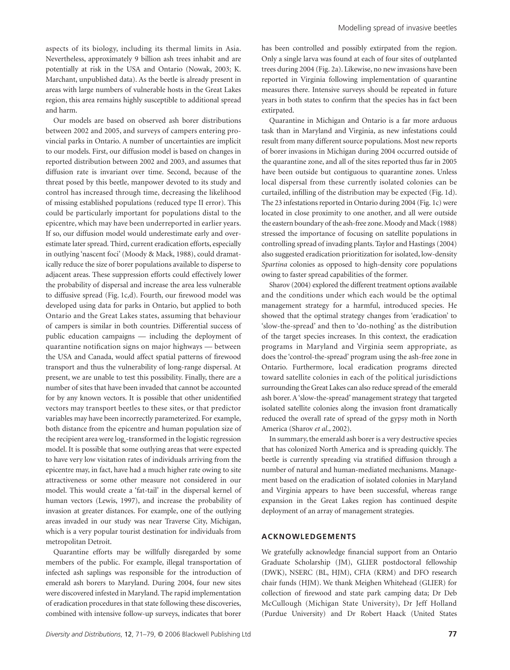aspects of its biology, including its thermal limits in Asia. Nevertheless, approximately 9 billion ash trees inhabit and are potentially at risk in the USA and Ontario (Nowak, 2003; K. Marchant, unpublished data). As the beetle is already present in areas with large numbers of vulnerable hosts in the Great Lakes region, this area remains highly susceptible to additional spread and harm.

Our models are based on observed ash borer distributions between 2002 and 2005, and surveys of campers entering provincial parks in Ontario. A number of uncertainties are implicit to our models. First, our diffusion model is based on changes in reported distribution between 2002 and 2003, and assumes that diffusion rate is invariant over time. Second, because of the threat posed by this beetle, manpower devoted to its study and control has increased through time, decreasing the likelihood of missing established populations (reduced type II error). This could be particularly important for populations distal to the epicentre, which may have been underreported in earlier years. If so, our diffusion model would underestimate early and overestimate later spread. Third, current eradication efforts, especially in outlying 'nascent foci' (Moody & Mack, 1988), could dramatically reduce the size of borer populations available to disperse to adjacent areas. These suppression efforts could effectively lower the probability of dispersal and increase the area less vulnerable to diffusive spread (Fig. 1c,d). Fourth, our firewood model was developed using data for parks in Ontario, but applied to both Ontario and the Great Lakes states, assuming that behaviour of campers is similar in both countries. Differential success of public education campaigns — including the deployment of quarantine notification signs on major highways — between the USA and Canada, would affect spatial patterns of firewood transport and thus the vulnerability of long-range dispersal. At present, we are unable to test this possibility. Finally, there are a number of sites that have been invaded that cannot be accounted for by any known vectors. It is possible that other unidentified vectors may transport beetles to these sites, or that predictor variables may have been incorrectly parameterized. For example, both distance from the epicentre and human population size of the recipient area were log-transformed in the logistic regression model. It is possible that some outlying areas that were expected to have very low visitation rates of individuals arriving from the epicentre may, in fact, have had a much higher rate owing to site attractiveness or some other measure not considered in our model. This would create a 'fat-tail' in the dispersal kernel of human vectors (Lewis, 1997), and increase the probability of invasion at greater distances. For example, one of the outlying areas invaded in our study was near Traverse City, Michigan, which is a very popular tourist destination for individuals from metropolitan Detroit.

Quarantine efforts may be willfully disregarded by some members of the public. For example, illegal transportation of infected ash saplings was responsible for the introduction of emerald ash borers to Maryland. During 2004, four new sites were discovered infested in Maryland. The rapid implementation of eradication procedures in that state following these discoveries, combined with intensive follow-up surveys, indicates that borer

has been controlled and possibly extirpated from the region. Only a single larva was found at each of four sites of outplanted trees during 2004 (Fig. 2a). Likewise, no new invasions have been reported in Virginia following implementation of quarantine measures there. Intensive surveys should be repeated in future years in both states to confirm that the species has in fact been extirpated.

Quarantine in Michigan and Ontario is a far more arduous task than in Maryland and Virginia, as new infestations could result from many different source populations. Most new reports of borer invasions in Michigan during 2004 occurred outside of the quarantine zone, and all of the sites reported thus far in 2005 have been outside but contiguous to quarantine zones. Unless local dispersal from these currently isolated colonies can be curtailed, infilling of the distribution may be expected (Fig. 1d). The 23 infestations reported in Ontario during 2004 (Fig. 1c) were located in close proximity to one another, and all were outside the eastern boundary of the ash-free zone. Moody and Mack (1988) stressed the importance of focusing on satellite populations in controlling spread of invading plants. Taylor and Hastings (2004) also suggested eradication prioritization for isolated, low-density *Spartina* colonies as opposed to high-density core populations owing to faster spread capabilities of the former.

Sharov (2004) explored the different treatment options available and the conditions under which each would be the optimal management strategy for a harmful, introduced species. He showed that the optimal strategy changes from 'eradication' to 'slow-the-spread' and then to 'do-nothing' as the distribution of the target species increases. In this context, the eradication programs in Maryland and Virginia seem appropriate, as does the 'control-the-spread' program using the ash-free zone in Ontario. Furthermore, local eradication programs directed toward satellite colonies in each of the political jurisdictions surrounding the Great Lakes can also reduce spread of the emerald ash borer. A 'slow-the-spread' management strategy that targeted isolated satellite colonies along the invasion front dramatically reduced the overall rate of spread of the gypsy moth in North America (Sharov *et al*., 2002).

In summary, the emerald ash borer is a very destructive species that has colonized North America and is spreading quickly. The beetle is currently spreading via stratified diffusion through a number of natural and human-mediated mechanisms. Management based on the eradication of isolated colonies in Maryland and Virginia appears to have been successful, whereas range expansion in the Great Lakes region has continued despite deployment of an array of management strategies.

## **ACKNOWLEDGEMENTS**

We gratefully acknowledge financial support from an Ontario Graduate Scholarship (JM), GLIER postdoctoral fellowship (DWK), NSERC (BL, HJM), CFIA (KRM) and DFO research chair funds (HJM). We thank Meighen Whitehead (GLIER) for collection of firewood and state park camping data; Dr Deb McCullough (Michigan State University), Dr Jeff Holland (Purdue University) and Dr Robert Haack (United States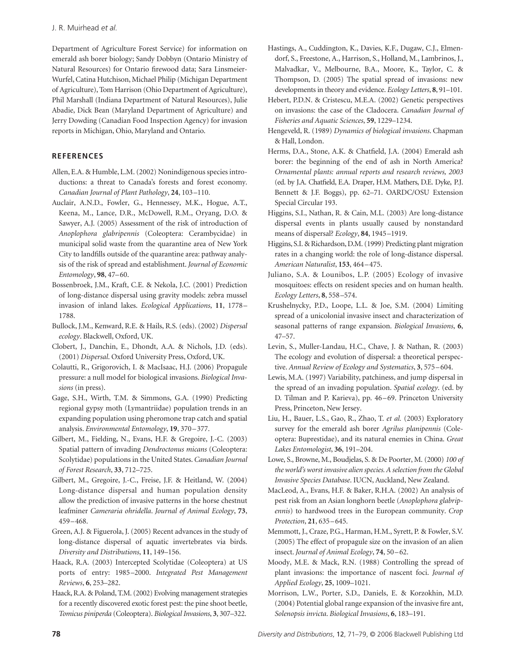Department of Agriculture Forest Service) for information on emerald ash borer biology; Sandy Dobbyn (Ontario Ministry of Natural Resources) for Ontario firewood data; Sara Linsmeier-Wurfel, Catina Hutchison, Michael Philip (Michigan Department of Agriculture), Tom Harrison (Ohio Department of Agriculture), Phil Marshall (Indiana Department of Natural Resources), Julie Abadie, Dick Bean (Maryland Department of Agriculture) and Jerry Dowding (Canadian Food Inspection Agency) for invasion reports in Michigan, Ohio, Maryland and Ontario.

# **REFERENCES**

- Allen, E.A. & Humble, L.M. (2002) Nonindigenous species introductions: a threat to Canada's forests and forest economy. *Canadian Journal of Plant Pathology*, **24**, 103–110.
- Auclair, A.N.D., Fowler, G., Hennessey, M.K., Hogue, A.T., Keena, M., Lance, D.R., McDowell, R.M., Oryang, D.O. & Sawyer, A.J. (2005) Assessment of the risk of introduction of *Anoplophora glabripennis* (Coleoptera: Cerambycidae) in municipal solid waste from the quarantine area of New York City to landfills outside of the quarantine area: pathway analysis of the risk of spread and establishment. *Journal of Economic Entomology*, **98**, 47–60.
- Bossenbroek, J.M., Kraft, C.E. & Nekola, J.C. (2001) Prediction of long-distance dispersal using gravity models: zebra mussel invasion of inland lakes. *Ecological Applications*, **11**, 1778– 1788.
- Bullock, J.M., Kenward, R.E. & Hails, R.S. (eds). (2002) *Dispersal ecology*. Blackwell, Oxford, UK.
- Clobert, J., Danchin, E., Dhondt, A.A. & Nichols, J.D. (eds). (2001) *Dispersal*. Oxford University Press, Oxford, UK.
- Colautti, R., Grigorovich, I. & MacIsaac, H.J. (2006) Propagule pressure: a null model for biological invasions. *Biological Invasions* (in press).
- Gage, S.H., Wirth, T.M. & Simmons, G.A. (1990) Predicting regional gypsy moth (Lymantriidae) population trends in an expanding population using pheromone trap catch and spatial analysis. *Environmental Entomology*, **19**, 370–377.
- Gilbert, M., Fielding, N., Evans, H.F. & Gregoire, J.-C. (2003) Spatial pattern of invading *Dendroctonus micans* (Coleoptera: Scolytidae) populations in the United States. *Canadian Journal of Forest Research*, **33**, 712–725.
- Gilbert, M., Gregoire, J.-C., Freise, J.F. & Heitland, W. (2004) Long-distance dispersal and human population density allow the prediction of invasive patterns in the horse chestnut leafminer *Cameraria ohridella*. *Journal of Animal Ecology*, **73**, 459–468.
- Green, A.J. & Figuerola, J. (2005) Recent advances in the study of long-distance dispersal of aquatic invertebrates via birds. *Diversity and Distributions*, **11**, 149–156.
- Haack, R.A. (2003) Intercepted Scolytidae (Coleoptera) at US ports of entry: 1985–2000. *Integrated Pest Management Reviews*, **6**, 253–282.
- Haack, R.A. & Poland, T.M. (2002) Evolving management strategies for a recently discovered exotic forest pest: the pine shoot beetle, *Tomicus piniperda* (Coleoptera). *Biological Invasions*, **3**, 307–322.
- Hastings, A., Cuddington, K., Davies, K.F., Dugaw, C.J., Elmendorf, S., Freestone, A., Harrison, S., Holland, M., Lambrinos, J., Malvadkar, V., Melbourne, B.A., Moore, K., Taylor, C. & Thompson, D. (2005) The spatial spread of invasions: new developments in theory and evidence. *Ecology Letters*, **8**, 91–101.
- Hebert, P.D.N. & Cristescu, M.E.A. (2002) Genetic perspectives on invasions: the case of the Cladocera. *Canadian Journal of Fisheries and Aquatic Sciences*, **59**, 1229–1234.
- Hengeveld, R. (1989) *Dynamics of biological invasions*. Chapman & Hall, London.
- Herms, D.A., Stone, A.K. & Chatfield, J.A. (2004) Emerald ash borer: the beginning of the end of ash in North America? *Ornamental plants: annual reports and research reviews, 2003* (ed. by J.A. Chatfield, E.A. Draper, H.M. Mathers, D.E. Dyke, P.J. Bennett & J.F. Boggs), pp. 62–71. OARDC/OSU Extension Special Circular 193.
- Higgins, S.I., Nathan, R. & Cain, M.L. (2003) Are long-distance dispersal events in plants usually caused by nonstandard means of dispersal? *Ecology*, **84**, 1945–1919.
- Higgins, S.I. & Richardson, D.M. (1999) Predicting plant migration rates in a changing world: the role of long-distance dispersal. *American Naturalist*, **153**, 464–475.
- Juliano, S.A. & Lounibos, L.P. (2005) Ecology of invasive mosquitoes: effects on resident species and on human health. *Ecology Letters*, **8**, 558–574.
- Krushelnycky, P.D., Loope, L.L. & Joe, S.M. (2004) Limiting spread of a unicolonial invasive insect and characterization of seasonal patterns of range expansion. *Biological Invasions*, **6**, 47–57.
- Levin, S., Muller-Landau, H.C., Chave, J. & Nathan, R. (2003) The ecology and evolution of dispersal: a theoretical perspective. *Annual Review of Ecology and Systematics*, **3**, 575–604.
- Lewis, M.A. (1997) Variability, patchiness, and jump dispersal in the spread of an invading population. *Spatial ecology*. (ed. by D. Tilman and P. Karieva), pp. 46–69. Princeton University Press, Princeton, New Jersey.
- Liu, H., Bauer, L.S., Gao, R., Zhao, T. *et al.* (2003) Exploratory survey for the emerald ash borer *Agrilus planipennis* (Coleoptera: Buprestidae), and its natural enemies in China. *Great Lakes Entomologist*, **36**, 191–204.
- Lowe, S., Browne, M., Boudjelas, S. & De Poorter, M. (2000) *100 of the world's worst invasive alien species. A selection from the Global Invasive Species Database*. IUCN, Auckland, New Zealand.
- MacLeod, A., Evans, H.F. & Baker, R.H.A. (2002) An analysis of pest risk from an Asian longhorn beetle (*Anoplophora glabripennis*) to hardwood trees in the European community. *Crop Protection*, **21**, 635–645.
- Memmott, J., Craze, P.G., Harman, H.M., Syrett, P. & Fowler, S.V. (2005) The effect of propagule size on the invasion of an alien insect. *Journal of Animal Ecology*, **74**, 50–62.
- Moody, M.E. & Mack, R.N. (1988) Controlling the spread of plant invasions: the importance of nascent foci. *Journal of Applied Ecology*, **25**, 1009–1021.
- Morrison, L.W., Porter, S.D., Daniels, E. & Korzokhin, M.D. (2004) Potential global range expansion of the invasive fire ant, *Solenopsis invicta*. *Biological Invasions*, **6**, 183–191.